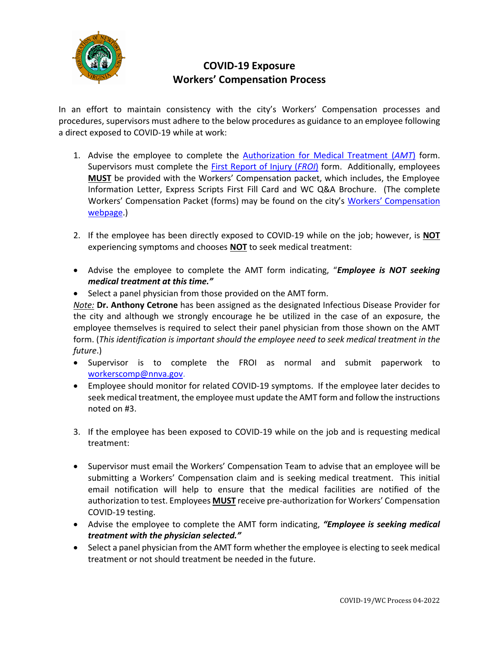

## **COVID-19 Exposure Workers' Compensation Process**

In an effort to maintain consistency with the city's Workers' Compensation processes and procedures, supervisors must adhere to the below procedures as guidance to an employee following a direct exposed to COVID-19 while at work:

- 1. Advise the employee to complete the [Authorization for Medical Treatment \(](https://www.nnva.gov/DocumentCenter/View/24025/Authorization-for-Medical-Treatment-Form--April-2020)*AMT*) form. Supervisors must complete the [First Report of Injury \(](https://www.nnva.gov/DocumentCenter/View/12258/First-Report-of-Injury-April-2020)*FROI*) form. Additionally, employees **MUST** be provided with the Workers' Compensation packet, which includes, the Employee Information Letter, Express Scripts First Fill Card and WC Q&A Brochure. (The complete Workers' Compensation Packet (forms) may be found on the city's [Workers' Compensation](https://www.nnva.gov/1499/Workers-Compensation)  [webpage.](https://www.nnva.gov/1499/Workers-Compensation))
- 2. If the employee has been directly exposed to COVID-19 while on the job; however, is **NOT** experiencing symptoms and chooses **NOT** to seek medical treatment:
- Advise the employee to complete the AMT form indicating, "*Employee is NOT seeking medical treatment at this time."*
- Select a panel physician from those provided on the AMT form.

*Note:* **Dr. Anthony Cetrone** has been assigned as the designated Infectious Disease Provider for the city and although we strongly encourage he be utilized in the case of an exposure, the employee themselves is required to select their panel physician from those shown on the AMT form. (*This identification is important should the employee need to seek medical treatment in the future*.)

- Supervisor is to complete the FROI as normal and submit paperwork to [workerscomp@nnva.gov.](mailto:workerscomp@nnva.gov)
- Employee should monitor for related COVID-19 symptoms. If the employee later decides to seek medical treatment, the employee must update the AMT form and follow the instructions noted on #3.
- 3. If the employee has been exposed to COVID-19 while on the job and is requesting medical treatment:
- Supervisor must email the Workers' Compensation Team to advise that an employee will be submitting a Workers' Compensation claim and is seeking medical treatment. This initial email notification will help to ensure that the medical facilities are notified of the authorization to test. Employees **MUST** receive pre-authorization for Workers' Compensation COVID-19 testing.
- Advise the employee to complete the AMT form indicating, *"Employee is seeking medical treatment with the physician selected."*
- Select a panel physician from the AMT form whether the employee is electing to seek medical treatment or not should treatment be needed in the future.